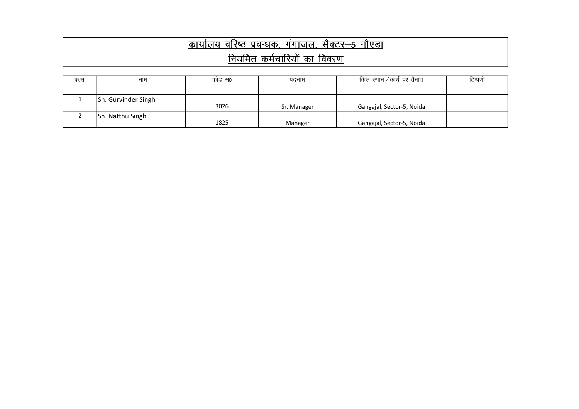| नाएडा<br>सक्टर–5<br>प्रवन्धक<br>गगाजल,<br>वारष्ठ<br>ા બર |  |  |  |  |  |  |
|----------------------------------------------------------|--|--|--|--|--|--|
| ਰਿਰਦਾਸ<br>ᇒ<br>का<br>11 Y ZI                             |  |  |  |  |  |  |

| क.सं. | नाम                 | कोड स0 | पदनाम       | किस स्थान ⁄ कार्य पर तैनात | टिप्पणी |
|-------|---------------------|--------|-------------|----------------------------|---------|
|       |                     |        |             |                            |         |
|       | Sh. Gurvinder Singh |        |             |                            |         |
|       |                     | 3026   | Sr. Manager | Gangajal, Sector-5, Noida  |         |
|       | Sh. Natthu Singh    |        |             |                            |         |
|       |                     | 1825   | Manager     | Gangajal, Sector-5, Noida  |         |